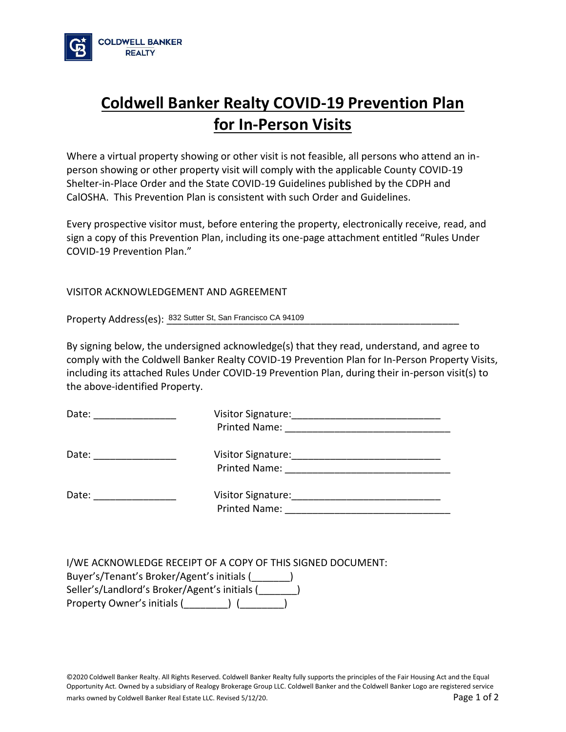

## **Coldwell Banker Realty COVID-19 Prevention Plan for In-Person Visits**

Where a virtual property showing or other visit is not feasible, all persons who attend an inperson showing or other property visit will comply with the applicable County COVID-19 Shelter-in-Place Order and the State COVID-19 Guidelines published by the CDPH and CalOSHA. This Prevention Plan is consistent with such Order and Guidelines.

Every prospective visitor must, before entering the property, electronically receive, read, and sign a copy of this Prevention Plan, including its one-page attachment entitled "Rules Under COVID-19 Prevention Plan."

## VISITOR ACKNOWLEDGEMENT AND AGREEMENT

Property Address(es):  $\frac{832 \text{ Sutter St.} \text{ San Francisco CA 94109}}{24109}$ 

By signing below, the undersigned acknowledge(s) that they read, understand, and agree to comply with the Coldwell Banker Realty COVID-19 Prevention Plan for In-Person Property Visits, including its attached Rules Under COVID-19 Prevention Plan, during their in-person visit(s) to the above-identified Property.

| Date: | Visitor Signature:<br>the control of the control of the control of the control of the control of the control of the control of the control of the control of the control of the control of the control of the control of the control of the control<br><b>Printed Name:</b> |  |
|-------|-----------------------------------------------------------------------------------------------------------------------------------------------------------------------------------------------------------------------------------------------------------------------------|--|
| Date: | <b>Printed Name:</b>                                                                                                                                                                                                                                                        |  |
| Date: | <b>Visitor Signature:</b><br>Printed Name:                                                                                                                                                                                                                                  |  |

| I/WE ACKNOWLEDGE RECEIPT OF A COPY OF THIS SIGNED DOCUMENT: |
|-------------------------------------------------------------|
| Buyer's/Tenant's Broker/Agent's initials (                  |
| Seller's/Landlord's Broker/Agent's initials (               |
| Property Owner's initials (                                 |